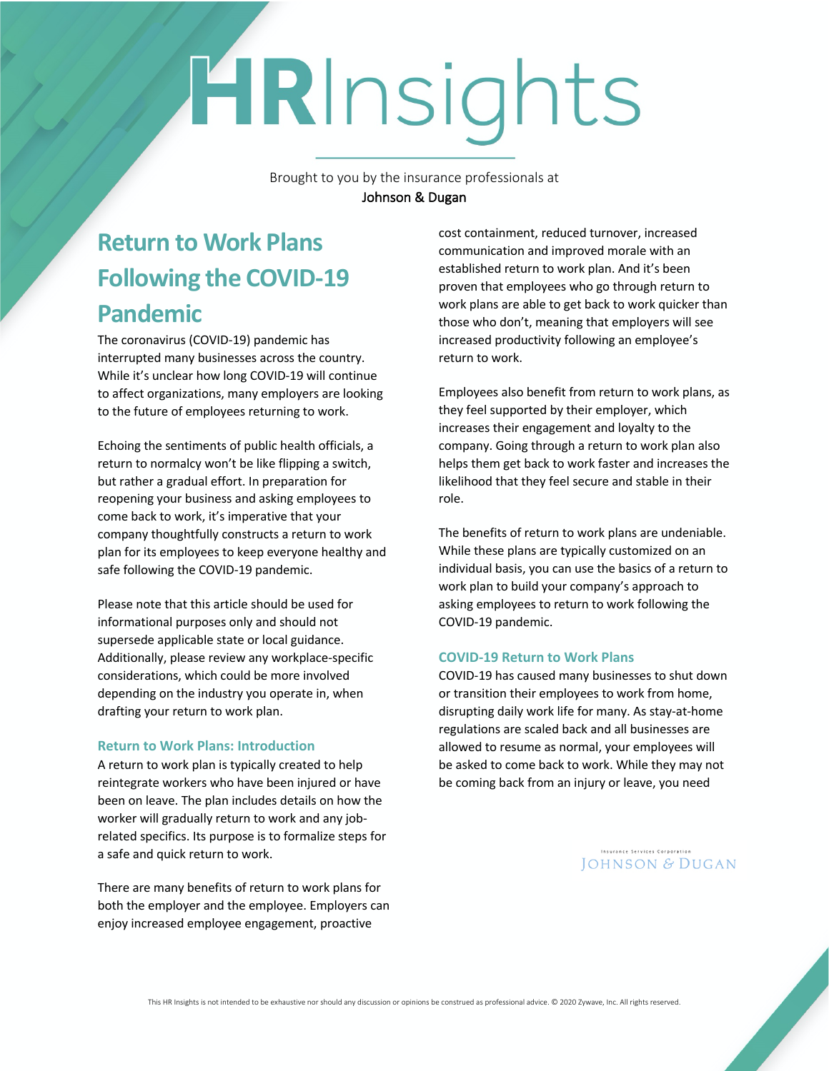# HRInsights

Brought to you by the insurance professionals at Johnson & Dugan

## **Return to Work Plans Following the COVID-19 Pandemic**

The coronavirus (COVID-19) pandemic has interrupted many businesses across the country. While it's unclear how long COVID-19 will continue to affect organizations, many employers are looking to the future of employees returning to work.

Echoing the sentiments of public health officials, a return to normalcy won't be like flipping a switch, but rather a gradual effort. In preparation for reopening your business and asking employees to come back to work, it's imperative that your company thoughtfully constructs a return to work plan for its employees to keep everyone healthy and safe following the COVID-19 pandemic.

Please note that this article should be used for informational purposes only and should not supersede applicable state or local guidance. Additionally, please review any workplace-specific considerations, which could be more involved depending on the industry you operate in, when drafting your return to work plan.

#### **Return to Work Plans: Introduction**

A return to work plan is typically created to help reintegrate workers who have been injured or have been on leave. The plan includes details on how the worker will gradually return to work and any jobrelated specifics. Its purpose is to formalize steps for a safe and quick return to work.

There are many benefits of return to work plans for both the employer and the employee. Employers can enjoy increased employee engagement, proactive

cost containment, reduced turnover, increased communication and improved morale with an established return to work plan. And it's been proven that employees who go through return to work plans are able to get back to work quicker than those who don't, meaning that employers will see increased productivity following an employee's return to work.

Employees also benefit from return to work plans, as they feel supported by their employer, which increases their engagement and loyalty to the company. Going through a return to work plan also helps them get back to work faster and increases the likelihood that they feel secure and stable in their role.

The benefits of return to work plans are undeniable. While these plans are typically customized on an individual basis, you can use the basics of a return to work plan to build your company's approach to asking employees to return to work following the COVID-19 pandemic.

#### **COVID-19 Return to Work Plans**

COVID-19 has caused many businesses to shut down or transition their employees to work from home, disrupting daily work life for many. As stay-at-home regulations are scaled back and all businesses are allowed to resume as normal, your employees will be asked to come back to work. While they may not be coming back from an injury or leave, you need

> Insurance Services Corporation JOHNSON & DUGAN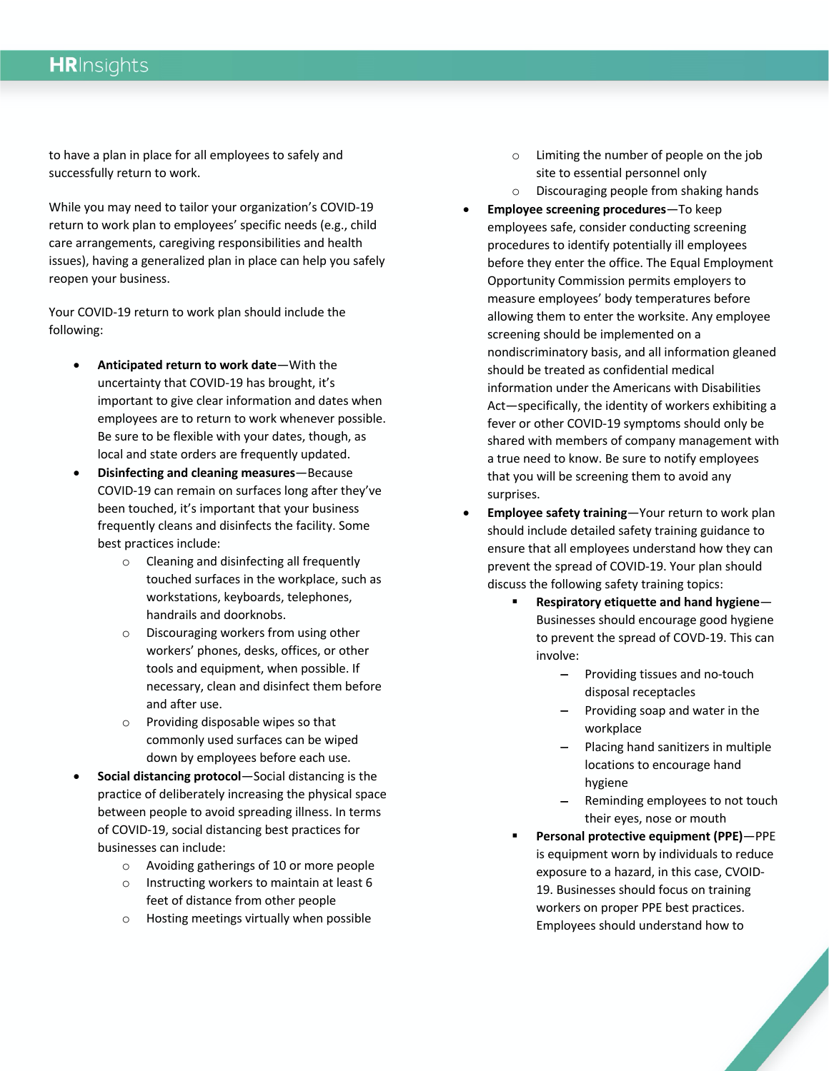### **HR**Insights

to have a plan in place for all employees to safely and successfully return to work.

While you may need to tailor your organization's COVID-19 return to work plan to employees' specific needs (e.g., child care arrangements, caregiving responsibilities and health issues), having a generalized plan in place can help you safely reopen your business.

Your COVID-19 return to work plan should include the following:

- **Anticipated return to work date**—With the uncertainty that COVID-19 has brought, it's important to give clear information and dates when employees are to return to work whenever possible. Be sure to be flexible with your dates, though, as local and state orders are frequently updated.
- **Disinfecting and cleaning measures**—Because COVID-19 can remain on surfaces long after they've been touched, it's important that your business frequently cleans and disinfects the facility. Some best practices include:
	- o Cleaning and disinfecting all frequently touched surfaces in the workplace, such as workstations, keyboards, telephones, handrails and doorknobs.
	- o Discouraging workers from using other workers' phones, desks, offices, or other tools and equipment, when possible. If necessary, clean and disinfect them before and after use.
	- o Providing disposable wipes so that commonly used surfaces can be wiped down by employees before each use.
- **Social distancing protocol**—Social distancing is the practice of deliberately increasing the physical space between people to avoid spreading illness. In terms of COVID-19, social distancing best practices for businesses can include:
	- o Avoiding gatherings of 10 or more people
	- o Instructing workers to maintain at least 6 feet of distance from other people
	- o Hosting meetings virtually when possible
- o Limiting the number of people on the job site to essential personnel only
- o Discouraging people from shaking hands
- **Employee screening procedures**—To keep employees safe, consider conducting screening procedures to identify potentially ill employees before they enter the office. The Equal Employment Opportunity Commission permits employers to measure employees' body temperatures before allowing them to enter the worksite. Any employee screening should be implemented on a nondiscriminatory basis, and all information gleaned should be treated as confidential medical information under the Americans with Disabilities Act—specifically, the identity of workers exhibiting a fever or other COVID-19 symptoms should only be shared with members of company management with a true need to know. Be sure to notify employees that you will be screening them to avoid any surprises.
- **Employee safety training**—Your return to work plan should include detailed safety training guidance to ensure that all employees understand how they can prevent the spread of COVID-19. Your plan should discuss the following safety training topics:
	- § **Respiratory etiquette and hand hygiene** Businesses should encourage good hygiene to prevent the spread of COVD-19. This can involve:
		- Providing tissues and no-touch disposal receptacles
		- Providing soap and water in the workplace
		- Placing hand sanitizers in multiple locations to encourage hand hygiene
		- Reminding employees to not touch their eyes, nose or mouth
	- § **Personal protective equipment (PPE)**—PPE is equipment worn by individuals to reduce exposure to a hazard, in this case, CVOID-19. Businesses should focus on training workers on proper PPE best practices. Employees should understand how to